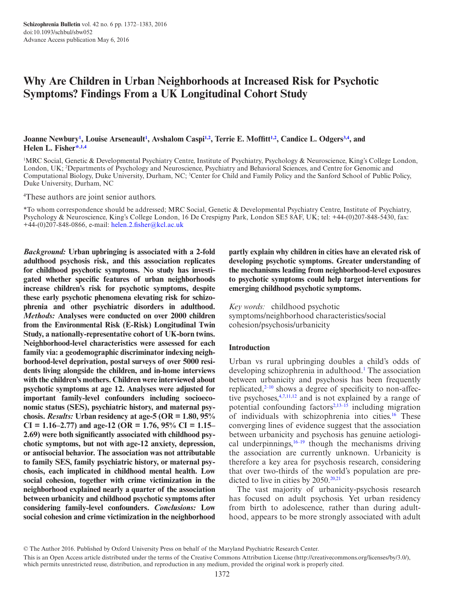# **Why Are Children in Urban Neighborhoods at Increased Risk for Psychotic Symptoms? Findings From a UK Longitudinal Cohort Study**

**Joanne Newbury[1](#page-0-0) , Louise Arseneault[1](#page-0-0) , Avshalom Casp[i1](#page-0-0),[2](#page-0-1) , Terrie E. Moffitt[1](#page-0-0)[,2](#page-0-1) , Candice L. Odger[s3](#page-0-2),[4](#page-0-3) , and Helen L. Fishe[r\\*](#page-0-4),[1,](#page-0-0)[4](#page-0-3)**

<span id="page-0-2"></span><span id="page-0-1"></span><span id="page-0-0"></span>1 MRC Social, Genetic & Developmental Psychiatry Centre, Institute of Psychiatry, Psychology & Neuroscience, King's College London, London, UK; 2 Departments of Psychology and Neuroscience, Psychiatry and Behavioral Sciences, and Centre for Genomic and Computational Biology, Duke University, Durham, NC; <sup>3</sup>Center for Child and Family Policy and the Sanford School of Public Policy, Duke University, Durham, NC

<span id="page-0-3"></span>4 These authors are joint senior authors.

<span id="page-0-4"></span>\*To whom correspondence should be addressed; MRC Social, Genetic & Developmental Psychiatry Centre, Institute of Psychiatry, Psychology & Neuroscience, King's College London, 16 De Crespigny Park, London SE5 8AF, UK; tel: +44-(0)207-848-5430, fax: +44-(0)207-848-0866, e-mail: [helen.2.fisher@kcl.ac.uk](mailto:helen.2.fisher@kcl.ac.uk?subject=)

*Background:* **Urban upbringing is associated with a 2-fold adulthood psychosis risk, and this association replicates for childhood psychotic symptoms. No study has investigated whether specific features of urban neighborhoods increase children's risk for psychotic symptoms, despite these early psychotic phenomena elevating risk for schizophrenia and other psychiatric disorders in adulthood.** *Methods:* **Analyses were conducted on over 2000 children from the Environmental Risk (E-Risk) Longitudinal Twin Study, a nationally-representative cohort of UK-born twins. Neighborhood-level characteristics were assessed for each family via: a geodemographic discriminator indexing neighborhood-level deprivation, postal surveys of over 5000 residents living alongside the children, and in-home interviews with the children's mothers. Children were interviewed about psychotic symptoms at age 12. Analyses were adjusted for important family-level confounders including socioeconomic status (SES), psychiatric history, and maternal psychosis.** *Results:* **Urban residency at age-5 (OR = 1.80, 95% CI = 1.16–2.77) and age-12 (OR = 1.76, 95% CI = 1.15– 2.69) were both significantly associated with childhood psychotic symptoms, but not with age-12 anxiety, depression, or antisocial behavior. The association was not attributable to family SES, family psychiatric history, or maternal psychosis, each implicated in childhood mental health. Low social cohesion, together with crime victimization in the neighborhood explained nearly a quarter of the association between urbanicity and childhood psychotic symptoms after considering family-level confounders.** *Conclusions:* **Low social cohesion and crime victimization in the neighborhood** 

**partly explain why children in cities have an elevated risk of developing psychotic symptoms. Greater understanding of the mechanisms leading from neighborhood-level exposures to psychotic symptoms could help target interventions for emerging childhood psychotic symptoms.**

*Key words:* childhood psychotic symptoms/neighborhood characteristics/social cohesion/psychosis/urbanicity

## **Introduction**

Urban vs rural upbringing doubles a child's odds of developing schizophrenia in adulthood[.1](#page-9-0) The association between urbanicity and psychosis has been frequently replicated,<sup>2-10</sup> shows a degree of specificity to non-affective psychoses,[4](#page-9-2)[,7](#page-9-3)[,11](#page-9-4),[12](#page-9-5) and is not explained by a range of potential confounding factors $2,13-15$  $2,13-15$  including migration of individuals with schizophrenia into cities.[16](#page-9-7) These converging lines of evidence suggest that the association between urbanicity and psychosis has genuine aetiological underpinnings, $16-19$  though the mechanisms driving the association are currently unknown. Urbanicity is therefore a key area for psychosis research, considering that over two-thirds of the world's population are predicted to live in cities by  $2050.^{20,21}$  $2050.^{20,21}$  $2050.^{20,21}$ 

The vast majority of urbanicity-psychosis research has focused on adult psychosis. Yet urban residency from birth to adolescence, rather than during adulthood, appears to be more strongly associated with adult

<sup>©</sup> The Author 2016. Published by Oxford University Press on behalf of the Maryland Psychiatric Research Center.

This is an Open Access article distributed under the terms of the Creative Commons Attribution License (http://creativecommons.org/licenses/by/3.0/), which permits unrestricted reuse, distribution, and reproduction in any medium, provided the original work is properly cited.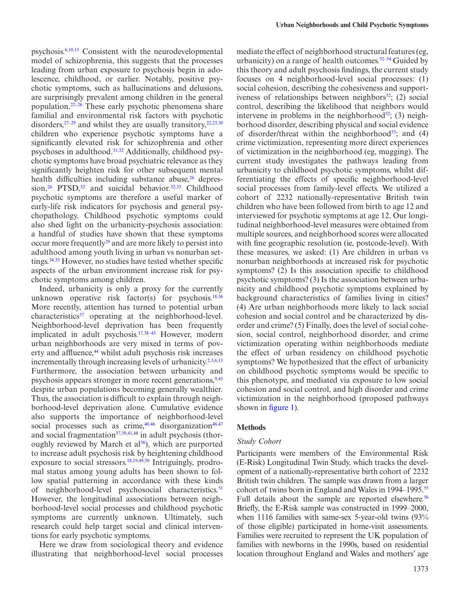psychosis[.6](#page-9-10),[10](#page-9-11),[13](#page-9-6) Consistent with the neurodevelopmental model of schizophrenia, this suggests that the processes leading from urban exposure to psychosis begin in adolescence, childhood, or earlier. Notably, positive psychotic symptoms, such as hallucinations and delusions, are surprisingly prevalent among children in the general population.[22–26](#page-9-12) These early psychotic phenomena share familial and environmental risk factors with psychotic disorders, $27-29$  and whilst they are usually transitory,  $22,23,30$  $22,23,30$  $22,23,30$  $22,23,30$ children who experience psychotic symptoms have a significantly elevated risk for schizophrenia and other psychoses in adulthood.<sup>31,[32](#page-10-3)</sup> Additionally, childhood psychotic symptoms have broad psychiatric relevance as they significantly heighten risk for other subsequent mental health difficulties including substance abuse,<sup>26</sup> depres-sion,<sup>26</sup> PTSD,<sup>32</sup> and suicidal behavior.<sup>32,[33](#page-10-5)</sup> Childhood psychotic symptoms are therefore a useful marker of early-life risk indicators for psychosis and general psychopathology. Childhood psychotic symptoms could also shed light on the urbanicity-psychosis association: a handful of studies have shown that these symptoms occur more frequently<sup>29</sup> and are more likely to persist into adulthood among youth living in urban vs nonurban set-tings.<sup>[34](#page-10-7),35</sup> However, no studies have tested whether specific aspects of the urban environment increase risk for psychotic symptoms among children.

Indeed, urbanicity is only a proxy for the currently unknown operative risk factor(s) for psychosis.<sup>18,[36](#page-10-9)</sup> More recently, attention has turned to potential urban characteristics<sup>37</sup> operating at the neighborhood-level. Neighborhood-level deprivation has been frequently implicated in adult psychosis.[17](#page-9-15)[,38–43](#page-10-11) However, modern urban neighborhoods are very mixed in terms of poverty and affluence,<sup>44</sup> whilst adult psychosis risk increases incrementally through increasing levels of urbanicity.<sup>[2](#page-9-1)[,3](#page-9-16)[,6](#page-9-10),[13](#page-9-6)</sup> Furthermore, the association between urbanicity and psychosis appears stronger in more recent generations,<sup>9,[45](#page-10-13)</sup> despite urban populations becoming generally wealthier. Thus, the association is difficult to explain through neighborhood-level deprivation alone. Cumulative evidence also supports the importance of neighborhood-level social processes such as crime, $40,46$  $40,46$  disorganization $46,47$  $46,47$ and social fragmentation $37,39,41,48$  $37,39,41,48$  $37,39,41,48$  $37,39,41,48$  $37,39,41,48$  in adult psychosis (thoroughly reviewed by March et  $al^{36}$ ), which are purported to increase adult psychosis risk by heightening childhood exposure to social stressors.<sup>[18](#page-9-14),[19](#page-9-18)[,49,](#page-10-20)[50](#page-10-21)</sup> Intriguingly, prodromal status among young adults has been shown to follow spatial patterning in accordance with these kinds of neighborhood-level psychosocial characteristics.<sup>[51](#page-10-22)</sup> However, the longitudinal associations between neighborhood-level social processes and childhood psychotic symptoms are currently unknown. Ultimately, such research could help target social and clinical interventions for early psychotic symptoms.

Here we draw from sociological theory and evidence illustrating that neighborhood-level social processes mediate the effect of neighborhood structural features (eg, urbanicity) on a range of health outcomes. $52-54$  Guided by this theory and adult psychosis findings, the current study focuses on 4 neighborhood-level social processes: (1) social cohesion, describing the cohesiveness and supportiveness of relationships between neighbors<sup>52</sup>; (2) social control, describing the likelihood that neighbors would intervene in problems in the neighborhood $52$ ; (3) neighborhood disorder, describing physical and social evidence of disorder/threat within the neighborhood<sup>53</sup>; and (4) crime victimization, representing more direct experiences of victimization in the neighborhood (eg, mugging). The current study investigates the pathways leading from urbanicity to childhood psychotic symptoms, whilst differentiating the effects of specific neighborhood-level social processes from family-level effects. We utilized a cohort of 2232 nationally-representative British twin children who have been followed from birth to age 12 and interviewed for psychotic symptoms at age 12. Our longitudinal neighborhood-level measures were obtained from multiple sources, and neighborhood scores were allocated with fine geographic resolution (ie, postcode-level). With these measures, we asked: (1) Are children in urban vs nonurban neighborhoods at increased risk for psychotic symptoms? (2) Is this association specific to childhood psychotic symptoms? (3) Is the association between urbanicity and childhood psychotic symptoms explained by background characteristics of families living in cities? (4) Are urban neighborhoods more likely to lack social cohesion and social control and be characterized by disorder and crime? (5) Finally, does the level of social cohesion, social control, neighborhood disorder, and crime victimization operating within neighborhoods mediate the effect of urban residency on childhood psychotic symptoms? We hypothesized that the effect of urbanicity on childhood psychotic symptoms would be specific to this phenotype, and mediated via exposure to low social cohesion and social control, and high disorder and crime victimization in the neighborhood (proposed pathways shown in [figure 1\)](#page-2-0).

#### **Methods**

#### *Study Cohort*

Participants were members of the Environmental Risk (E-Risk) Longitudinal Twin Study, which tracks the development of a nationally-representative birth cohort of 2232 British twin children. The sample was drawn from a larger cohort of twins born in England and Wales in 1994–1995.<sup>55</sup> Full details about the sample are reported elsewhere.<sup>56</sup> Briefly, the E-Risk sample was constructed in 1999–2000, when 1116 families with same-sex 5-year-old twins (93% of those eligible) participated in home-visit assessments. Families were recruited to represent the UK population of families with newborns in the 1990s, based on residential location throughout England and Wales and mothers' age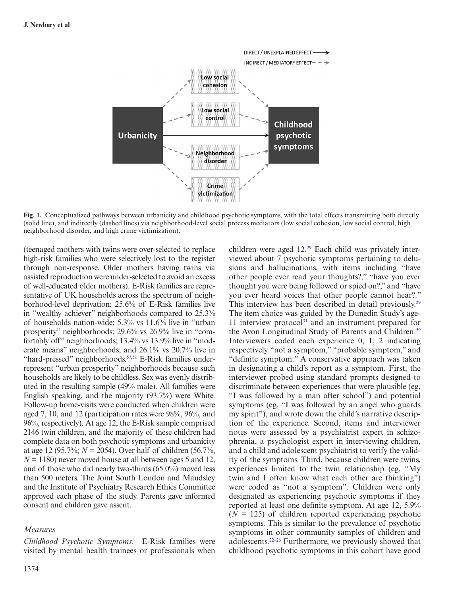

**Fig. 1.** Conceptualized pathways between urbanicity and childhood psychotic symptoms, with the total effects transmitting both directly (solid line), and indirectly (dashed lines) via neighborhood-level social process mediators (low social cohesion, low social control, high neighborhood disorder, and high crime victimization).

(teenaged mothers with twins were over-selected to replace high-risk families who were selectively lost to the register through non-response. Older mothers having twins via assisted reproduction were under-selected to avoid an excess of well-educated older mothers). E-Risk families are representative of UK households across the spectrum of neighborhood-level deprivation: 25.6% of E-Risk families live in "wealthy achiever" neighborhoods compared to 25.3% of households nation-wide; 5.3% vs 11.6% live in "urban prosperity" neighborhoods; 29.6% vs 26.9% live in "comfortably off" neighborhoods; 13.4% vs 13.9% live in "moderate means" neighborhoods; and 26.1% vs 20.7% live in "hard-pressed" neighborhoods.<sup>57,58</sup> E-Risk families underrepresent "urban prosperity" neighborhoods because such households are likely to be childless. Sex was evenly distributed in the resulting sample (49% male). All families were English speaking, and the majority (93.7%) were White. Follow-up home-visits were conducted when children were aged 7, 10, and 12 (participation rates were 98%, 96%, and 96%, respectively). At age 12, the E-Risk sample comprised 2146 twin children, and the majority of these children had complete data on both psychotic symptoms and urbanicity at age 12 (95.7%; *N* = 2054). Over half of children (56.7%,  $N = 1180$ ) never moved house at all between ages 5 and 12, and of those who did nearly two-thirds (65.0%) moved less than 500 meters. The Joint South London and Maudsley and the Institute of Psychiatry Research Ethics Committee approved each phase of the study. Parents gave informed consent and children gave assent.

## *Measures*

*Childhood Psychotic Symptoms.* E-Risk families were visited by mental health trainees or professionals when

1374

<span id="page-2-0"></span>children were aged  $12.^{29}$  Each child was privately interviewed about 7 psychotic symptoms pertaining to delusions and hallucinations, with items including "have other people ever read your thoughts?," "have you ever thought you were being followed or spied on?," and "have you ever heard voices that other people cannot hear?." This interview has been described in detail previously.<sup>[29](#page-10-6)</sup> The item choice was guided by the Dunedin Study's age-11 interview protocol $31$  and an instrument prepared for the Avon Longitudinal Study of Parents and Children.<sup>[59](#page-10-29)</sup> Interviewers coded each experience 0, 1, 2 indicating respectively "not a symptom," "probable symptom," and "definite symptom." A conservative approach was taken in designating a child's report as a symptom. First, the interviewer probed using standard prompts designed to discriminate between experiences that were plausible (eg, "I was followed by a man after school") and potential symptoms (eg, "I was followed by an angel who guards my spirit"), and wrote down the child's narrative description of the experience. Second, items and interviewer notes were assessed by a psychiatrist expert in schizophrenia, a psychologist expert in interviewing children, and a child and adolescent psychiatrist to verify the validity of the symptoms. Third, because children were twins, experiences limited to the twin relationship (eg, "My twin and I often know what each other are thinking") were coded as "not a symptom". Children were only designated as experiencing psychotic symptoms if they reported at least one definite symptom. At age 12, 5.9%  $(N = 125)$  of children reported experiencing psychotic symptoms. This is similar to the prevalence of psychotic symptoms in other community samples of children and adolescents.[22–26](#page-9-12) Furthermore, we previously showed that childhood psychotic symptoms in this cohort have good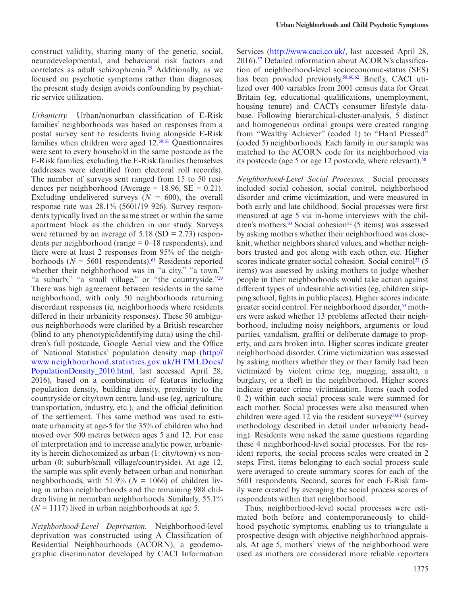construct validity, sharing many of the genetic, social, neurodevelopmental, and behavioral risk factors and correlates as adult schizophrenia.<sup>29</sup> Additionally, as we focused on psychotic symptoms rather than diagnoses, the present study design avoids confounding by psychiatric service utilization.

*Urbanicity.* Urban/nonurban classification of E-Risk families' neighborhoods was based on responses from a postal survey sent to residents living alongside E-Risk families when children were aged  $12.60,61$  $12.60,61$  $12.60,61$  Questionnaires were sent to every household in the same postcode as the E-Risk families, excluding the E-Risk families themselves (addresses were identified from electoral roll records). The number of surveys sent ranged from 15 to 50 residences per neighborhood (Average = 18.96,  $SE = 0.21$ ). Excluding undelivered surveys  $(N = 600)$ , the overall response rate was 28.1% (5601/19 926). Survey respondents typically lived on the same street or within the same apartment block as the children in our study. Surveys were returned by an average of  $5.18$  (SD = 2.73) respondents per neighborhood (range  $= 0-18$  respondents), and there were at least 2 responses from 95% of the neighborhoods ( $N = 5601$  respondents).<sup>61</sup> Residents reported whether their neighborhood was in "a city," "a town," "a suburb," "a small village," or "the countryside."[29](#page-10-6) There was high agreement between residents in the same neighborhood, with only 50 neighborhoods returning discordant responses (ie, neighborhoods where residents differed in their urbanicity responses). These 50 ambiguous neighborhoods were clarified by a British researcher (blind to any phenotypic/identifying data) using the children's full postcode, Google Aerial view and the Office of National Statistics' population density map ([http://](http://www.neighbourhood.statistics.gov.uk/HTMLDocs/PopulationDensity_2010.html) [www.neighbourhood.statistics.gov.uk/HTMLDocs/](http://www.neighbourhood.statistics.gov.uk/HTMLDocs/PopulationDensity_2010.html) [PopulationDensity\\_2010.html,](http://www.neighbourhood.statistics.gov.uk/HTMLDocs/PopulationDensity_2010.html) last accessed April 28, 2016), based on a combination of features including population density, building density, proximity to the countryside or city/town centre, land-use (eg, agriculture, transportation, industry, etc.), and the official definition of the settlement. This same method was used to estimate urbanicity at age-5 for the 35% of children who had moved over 500 metres between ages 5 and 12. For ease of interpretation and to increase analytic power, urbanicity is herein dichotomized as urban (1: city/town) vs nonurban (0: suburb/small village/countryside). At age 12, the sample was split evenly between urban and nonurban neighborhoods, with 51.9% ( $N = 1066$ ) of children living in urban neighborhoods and the remaining 988 children living in nonurban neighborhoods. Similarly, 55.1%  $(N = 1117)$  lived in urban neighborhoods at age 5.

*Neighborhood-Level Deprivation.* Neighborhood-level deprivation was constructed using A Classification of Residential Neighbourhoods (ACORN), a geodemographic discriminator developed by CACI Information Services [\(http://www.caci.co.uk/,](http://www.caci.co.uk/) last accessed April 28, 2016).<sup>57</sup> Detailed information about ACORN's classification of neighborhood-level socioeconomic-status (SES) has been provided previously.<sup>58,[60](#page-10-30)[,62](#page-10-32)</sup> Briefly, CACI utilized over 400 variables from 2001 census data for Great Britain (eg, educational qualifications, unemployment, housing tenure) and CACI's consumer lifestyle database. Following hierarchical-cluster-analysis, 5 distinct and homogeneous ordinal groups were created ranging from "Wealthy Achiever" (coded 1) to "Hard Pressed" (coded 5) neighborhoods. Each family in our sample was matched to the ACORN code for its neighborhood via its postcode (age 5 or age 12 postcode, where relevant).<sup>[58](#page-10-28)</sup>

*Neighborhood-Level Social Processes.* Social processes included social cohesion, social control, neighborhood disorder and crime victimization, and were measured in both early and late childhood. Social processes were first measured at age 5 via in-home interviews with the children's mothers. $63$  Social cohesion<sup>52</sup> (5 items) was assessed by asking mothers whether their neighborhood was closeknit, whether neighbors shared values, and whether neighbors trusted and got along with each other, etc. Higher scores indicate greater social cohesion. Social control<sup>52</sup> (5) items) was assessed by asking mothers to judge whether people in their neighborhoods would take action against different types of undesirable activities (eg, children skipping school, fights in public places). Higher scores indicate greater social control. For neighborhood disorder,<sup>53</sup> mothers were asked whether 13 problems affected their neighborhood, including noisy neighbors, arguments or loud parties, vandalism, graffiti or deliberate damage to property, and cars broken into. Higher scores indicate greater neighborhood disorder. Crime victimization was assessed by asking mothers whether they or their family had been victimized by violent crime (eg, mugging, assault), a burglary, or a theft in the neighborhood. Higher scores indicate greater crime victimization. Items (each coded 0–2) within each social process scale were summed for each mother. Social processes were also measured when children were aged 12 via the resident surveys $60,61$  (survey methodology described in detail under urbanicity heading). Residents were asked the same questions regarding these 4 neighborhood-level social processes. For the resident reports, the social process scales were created in 2 steps. First, items belonging to each social process scale were averaged to create summary scores for each of the 5601 respondents. Second, scores for each E-Risk family were created by averaging the social process scores of respondents within that neighborhood.

Thus, neighborhood-level social processes were estimated both before and contemporaneously to childhood psychotic symptoms, enabling us to triangulate a prospective design with objective neighborhood appraisals. At age 5, mothers' views of the neighborhood were used as mothers are considered more reliable reporters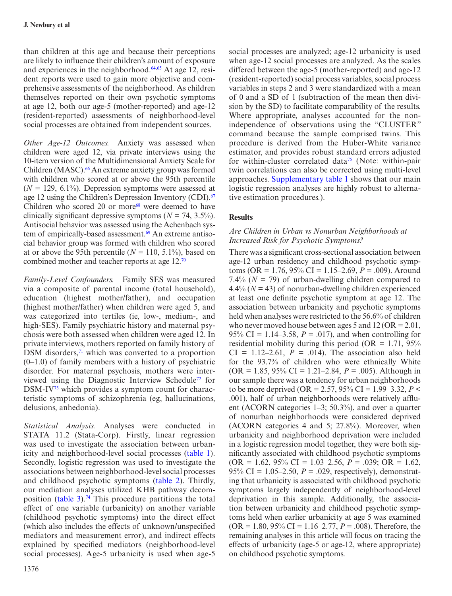than children at this age and because their perceptions are likely to influence their children's amount of exposure and experiences in the neighborhood. $64,65$  $64,65$  At age 12, resident reports were used to gain more objective and comprehensive assessments of the neighborhood. As children themselves reported on their own psychotic symptoms at age 12, both our age-5 (mother-reported) and age-12 (resident-reported) assessments of neighborhood-level social processes are obtained from independent sources.

*Other Age-12 Outcomes.* Anxiety was assessed when children were aged 12, via private interviews using the 10-item version of the Multidimensional Anxiety Scale for Children (MASC).<sup>66</sup> An extreme anxiety group was formed with children who scored at or above the 95th percentile  $(N = 129, 6.1\%)$ . Depression symptoms were assessed at age 12 using the Children's Depression Inventory (CDI).<sup>[67](#page-11-4)</sup> Children who scored 20 or more $68$  were deemed to have clinically significant depressive symptoms ( $N = 74, 3.5\%$ ). Antisocial behavior was assessed using the Achenbach system of empirically-based assessment.<sup>69</sup> An extreme antisocial behavior group was formed with children who scored at or above the 95th percentile  $(N = 110, 5.1\%)$ , based on combined mother and teacher reports at age 12[.70](#page-11-7)

*Family-Level Confounders.* Family SES was measured via a composite of parental income (total household), education (highest mother/father), and occupation (highest mother/father) when children were aged 5, and was categorized into tertiles (ie, low-, medium-, and high-SES). Family psychiatric history and maternal psychosis were both assessed when children were aged 12. In private interviews, mothers reported on family history of DSM disorders, $71$  which was converted to a proportion  $(0-1.0)$  of family members with a history of psychiatric disorder. For maternal psychosis, mothers were interviewed using the Diagnostic Interview Schedul[e72](#page-11-9) for DSM-IV<sup>73</sup> which provides a symptom count for characteristic symptoms of schizophrenia (eg, hallucinations, delusions, anhedonia).

*Statistical Analysis.* Analyses were conducted in STATA 11.2 (Stata-Corp). Firstly, linear regression was used to investigate the association between urbanicity and neighborhood-level social processes ([table 1](#page-5-0)). Secondly, logistic regression was used to investigate the associations between neighborhood-level social processes and childhood psychotic symptoms ([table 2](#page-5-1)). Thirdly, our mediation analyses utilized KHB pathway decomposition (table  $3$ ).<sup>74</sup> This procedure partitions the total effect of one variable (urbanicity) on another variable (childhood psychotic symptoms) into the direct effect (which also includes the effects of unknown/unspecified mediators and measurement error), and indirect effects explained by specified mediators (neighborhood-level social processes). Age-5 urbanicity is used when age-5

social processes are analyzed; age-12 urbanicity is used when age-12 social processes are analyzed. As the scales differed between the age-5 (mother-reported) and age-12 (resident-reported) social process variables, social process variables in steps 2 and 3 were standardized with a mean of 0 and a SD of 1 (subtraction of the mean then division by the SD) to facilitate comparability of the results. Where appropriate, analyses accounted for the nonindependence of observations using the "CLUSTER" command because the sample comprised twins. This procedure is derived from the Huber-White variance estimator, and provides robust standard errors adjusted for within-cluster correlated data<sup>75</sup> (Note: within-pair twin correlations can also be corrected using multi-level approaches. [Supplementary table 1](http://schizophreniabulletin.oxfordjournals.org/lookup/suppl/doi:10.1093/schbul/sbw052/-/DC1) shows that our main logistic regression analyses are highly robust to alternative estimation procedures.).

# **Results**

# *Are Children in Urban vs Nonurban Neighborhoods at Increased Risk for Psychotic Symptoms?*

There was a significant cross-sectional association between age-12 urban residency and childhood psychotic symptoms (OR = 1.76, 95% CI = 1.15–2.69, *P* = .009). Around 7.4%  $(N = 79)$  of urban-dwelling children compared to  $4.4\%$  ( $N = 43$ ) of nonurban-dwelling children experienced at least one definite psychotic symptom at age 12. The association between urbanicity and psychotic symptoms held when analyses were restricted to the 56.6% of children who never moved house between ages  $5$  and  $12$  (OR = 2.01, 95% CI = 1.14–3.58, *P* = .017), and when controlling for residential mobility during this period (OR =  $1.71$ ,  $95\%$  $CI = 1.12-2.61$ ,  $P = .014$ ). The association also held for the 93.7% of children who were ethnically White (OR = 1.85, 95% CI = 1.21–2.84, *P* = .005). Although in our sample there was a tendency for urban neighborhoods to be more deprived (OR = 2.57, 95% CI = 1.99–3.32,  $P$  < .001), half of urban neighborhoods were relatively affluent (ACORN categories 1–3; 50.3%), and over a quarter of nonurban neighborhoods were considered deprived (ACORN categories 4 and 5; 27.8%). Moreover, when urbanicity and neighborhood deprivation were included in a logistic regression model together, they were both significantly associated with childhood psychotic symptoms  $OR = 1.62$ ,  $95\%$  CI = 1.03–2.56,  $P = .039$ ; OR = 1.62, 95% CI = 1.05–2.50, *P* = .029, respectively), demonstrating that urbanicity is associated with childhood psychotic symptoms largely independently of neighborhood-level deprivation in this sample. Additionally, the association between urbanicity and childhood psychotic symptoms held when earlier urbanicity at age 5 was examined (OR = 1.80, 95% CI = 1.16–2.77, *P* = .008). Therefore, the remaining analyses in this article will focus on tracing the effects of urbanicity (age-5 or age-12, where appropriate) on childhood psychotic symptoms.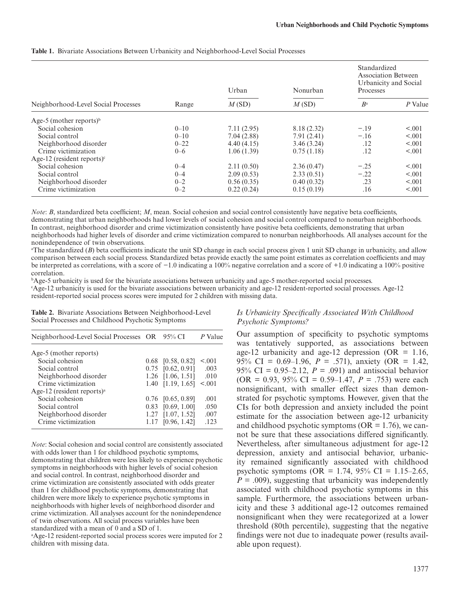|                                     |          | Urban      | Nonurban    | Standardized<br>Association Between<br>Processes | Urbanicity and Social |
|-------------------------------------|----------|------------|-------------|--------------------------------------------------|-----------------------|
| Neighborhood-Level Social Processes | Range    | M(SD)      | M(SD)       | $B^{\rm a}$                                      | P Value               |
| Age-5 (mother reports) <sup>b</sup> |          |            |             |                                                  |                       |
| Social cohesion                     | $0 - 10$ | 7.11(2.95) | 8.18 (2.32) | $-.19$                                           | < 0.001               |
| Social control                      | $0 - 10$ | 7.04(2.88) | 7.91(2.41)  | $-.16$                                           | < 0.01                |
| Neighborhood disorder               | $0 - 22$ | 4.40(4.15) | 3.46(3.24)  | .12                                              | < 0.001               |
| Crime victimization                 | $0 - 6$  | 1.06(1.39) | 0.75(1.18)  | .12                                              | < 0.001               |
| Age-12 (resident reports) $\degree$ |          |            |             |                                                  |                       |
| Social cohesion                     | $0 - 4$  | 2.11(0.50) | 2.36(0.47)  | $-.25$                                           | < 0.001               |
| Social control                      | $0 - 4$  | 2.09(0.53) | 2.33(0.51)  | $-.22$                                           | < 0.001               |
| Neighborhood disorder               | $0 - 2$  | 0.56(0.35) | 0.40(0.32)  | .23                                              | < 0.001               |
| Crime victimization                 | $0 - 2$  | 0.22(0.24) | 0.15(0.19)  | .16                                              | < 0.001               |

<span id="page-5-0"></span>**Table 1.** Bivariate Associations Between Urbanicity and Neighborhood-Level Social Processes

*Note*: *B*, standardized beta coefficient; *M*, mean. Social cohesion and social control consistently have negative beta coefficients, demonstrating that urban neighborhoods had lower levels of social cohesion and social control compared to nonurban neighborhoods. In contrast, neighborhood disorder and crime victimization consistently have positive beta coefficients, demonstrating that urban neighborhoods had higher levels of disorder and crime victimization compared to nonurban neighborhoods. All analyses account for the nonindependence of twin observations.

a The standardized (*B*) beta coefficients indicate the unit SD change in each social process given 1 unit SD change in urbanicity, and allow comparison between each social process. Standardized betas provide exactly the same point estimates as correlation coefficients and may be interpreted as correlations, with a score of −1.0 indicating a 100% negative correlation and a score of +1.0 indicating a 100% positive correlation.

b Age-5 urbanicity is used for the bivariate associations between urbanicity and age-5 mother-reported social processes.

c Age-12 urbanicity is used for the bivariate associations between urbanicity and age-12 resident-reported social processes. Age-12 resident-reported social process scores were imputed for 2 children with missing data.

<span id="page-5-1"></span>**Table 2.** Bivariate Associations Between Neighborhood-Level Social Processes and Childhood Psychotic Symptoms

| Neighborhood-Level Social Processes OR 95% CI |      |                     | P Value |
|-----------------------------------------------|------|---------------------|---------|
| Age-5 (mother reports)                        |      |                     |         |
| Social cohesion                               |      | $0.68$ [0.58, 0.82] | < 0.001 |
| Social control                                |      | $0.75$ [0.62, 0.91] | .003    |
| Neighborhood disorder                         | 1.26 | [1.06, 1.51]        | .010    |
| Crime victimization                           |      | 1.40 [1.19, 1.65]   | < 0.01  |
| Age-12 (resident reports) <sup>a</sup>        |      |                     |         |
| Social cohesion                               |      | $0.76$ [0.65, 0.89] | .001    |
| Social control                                | 0.83 | [0.69, 1.00]        | .050    |
| Neighborhood disorder                         | 1.27 | [1.07, 1.52]        | .007    |
| Crime victimization                           | 1.17 | [0.96, 1.42]        | .123    |

*Note*: Social cohesion and social control are consistently associated with odds lower than 1 for childhood psychotic symptoms, demonstrating that children were less likely to experience psychotic symptoms in neighborhoods with higher levels of social cohesion and social control. In contrast, neighborhood disorder and crime victimization are consistently associated with odds greater than 1 for childhood psychotic symptoms, demonstrating that children were more likely to experience psychotic symptoms in neighborhoods with higher levels of neighborhood disorder and crime victimization. All analyses account for the nonindependence of twin observations. All social process variables have been standardized with a mean of 0 and a SD of 1.

a Age-12 resident-reported social process scores were imputed for 2 children with missing data.

# *Is Urbanicity Specifically Associated With Childhood Psychotic Symptoms?*

Our assumption of specificity to psychotic symptoms was tentatively supported, as associations between age-12 urbanicity and age-12 depression (OR  $= 1.16$ , 95% CI =  $0.69-1.96$ ,  $P = .571$ ), anxiety (OR = 1.42, 95% CI =  $0.95-2.12$ ,  $P = .091$ ) and antisocial behavior  $(OR = 0.93, 95\% \text{ CI} = 0.59 - 1.47, P = .753)$  were each nonsignificant, with smaller effect sizes than demonstrated for psychotic symptoms. However, given that the CIs for both depression and anxiety included the point estimate for the association between age-12 urbanicity and childhood psychotic symptoms ( $OR = 1.76$ ), we cannot be sure that these associations differed significantly. Nevertheless, after simultaneous adjustment for age-12 depression, anxiety and antisocial behavior, urbanicity remained significantly associated with childhood psychotic symptoms (OR =  $1.74$ , 95% CI =  $1.15-2.65$ ,  $P = .009$ , suggesting that urbanicity was independently associated with childhood psychotic symptoms in this sample. Furthermore, the associations between urbanicity and these 3 additional age-12 outcomes remained nonsignificant when they were recategorized at a lower threshold (80th percentile), suggesting that the negative findings were not due to inadequate power (results available upon request).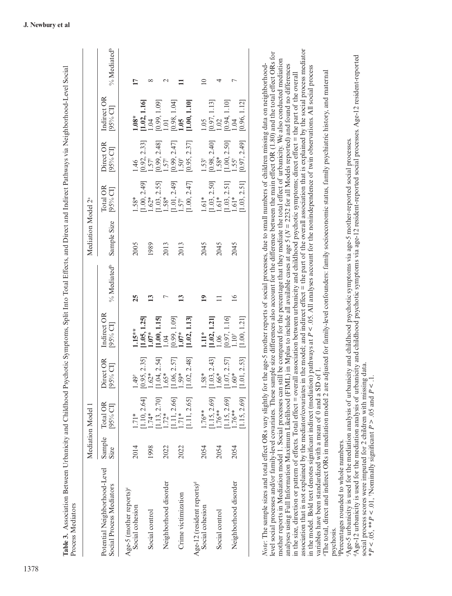|                                                           |                       | Mediation Model 1                                     |                                                      |                                                      |                         | Mediation Model 2 <sup>ª</sup> |                                                             |                                                              |                                                    |                         |
|-----------------------------------------------------------|-----------------------|-------------------------------------------------------|------------------------------------------------------|------------------------------------------------------|-------------------------|--------------------------------|-------------------------------------------------------------|--------------------------------------------------------------|----------------------------------------------------|-------------------------|
| Potential Neighborhood-Level<br>Social Process Mediators  | Sample<br><b>Size</b> | Total OR<br>$[95%$ CI                                 | Direct OR<br>[95% CI]                                | Indirect OR<br>[95% CI]                              | % Mediated <sup>b</sup> | Sample Size                    | Total OR<br>[95% CI]                                        | Direct OR<br>[95% CI]                                        | Indirect OR<br>$[95%$ CI                           | % Mediated <sup>b</sup> |
| Age-5 (mother reports) <sup>c</sup><br>Social cohesion    | 2014                  | $1.71*$                                               | $1.49^{\dagger}$                                     | $1.15**$                                             | 25                      | 2005                           | 1.58*                                                       | 1.46                                                         | $1.08*$                                            | 17                      |
| Social control                                            | 1998                  | $\begin{bmatrix} 1.10, 2.64 \end{bmatrix}$<br>1.74*   | $[0.95, 2.35]$<br>$1.62*$                            | $\begin{bmatrix} 1.05, 1.25 \\ 1.07* \end{bmatrix}$  | ≌                       | 1989                           | $\begin{bmatrix} 1.00, 2.49 \\ 1.62* \end{bmatrix}$         | $[0.92, 2.33]$<br>1.57 <sup>†</sup>                          | $\begin{bmatrix} 1.02, 1.16 \\ 1.04 \end{bmatrix}$ | ∞                       |
| Neighborhood disorder                                     | 2022                  | $\begin{bmatrix} 1.13, 2.70 \ 1.72* \end{bmatrix}$    | $[1.04, 2.54]$<br>$1.65*$                            | $\begin{bmatrix} 1.00, 1.15 \\ 1.04 \end{bmatrix}$   |                         | 2013                           | $\begin{bmatrix} 1.03, 2.55 \\ 1.58 \end{bmatrix}$          | $[0.99, 2.48]$<br>1.57 <sup>†</sup>                          | $[0.99, 1.09]$<br>$1.01$                           | $\mathrel{\sim}$        |
| Crime victimization                                       | 2022                  | $\begin{bmatrix} 1.11, 2.66 \end{bmatrix}$<br>$1.71*$ | $\begin{bmatrix} 1.06, 2.57 \\ 1.59 * \end{bmatrix}$ | $[0.99, 1.09]$ 1.07*                                 |                         | 2013                           | $\begin{bmatrix} 1.01, 2.49 \ 1.57^{\dagger} \end{bmatrix}$ | $[0.99, 2.47]$<br>1.50 <sup>*</sup>                          | $[0.98, 1.04]$<br>1.05                             |                         |
| Age-12 (resident reports) <sup>d</sup><br>Social cohesion | 2054                  | 1.11, 2.65]<br>1.76**                                 | [1.02, 2.48]<br>$1.58*$                              | [1.02, 1.13]<br>$\frac{1}{2}$                        | $\overline{1}$          | 2045                           | [1.00, 2.47]<br>$1.61*$                                     | [0.95, 2.37]<br>$1.53^{\dagger}$                             | [1.00, 1.10]<br>0.05                               | $\supseteq$             |
| Social control                                            | 2054                  | [1.15, 2.69]<br>$.76**$                               | $\begin{bmatrix} 1.03, 2.43 \\ 1.66* \end{bmatrix}$  | $[1.02, 1.21]$<br>$1.06$                             |                         | 2045                           | $\begin{bmatrix} 1.03, 2.50 \\ 1.61* \end{bmatrix}$         | $[0.98, 2.40]$<br>1.58*                                      | $[0.97, 1.13]$<br>$1.02$                           | 4                       |
| Neighborhood disorder                                     | 2054                  | 1.15, 2.69]<br>$1.76**$                               | $\begin{bmatrix} 1.07, 2.57 \ 1.60^* \end{bmatrix}$  | $\begin{bmatrix} 0.97, 1.16 \\ 1.10^* \end{bmatrix}$ | $\frac{6}{1}$           | 2045                           | $\begin{bmatrix} 1.03, 2.51 \end{bmatrix}$<br>1.61*         | $\begin{bmatrix} 1.00, 2.50 \\ 1.55^{\dagger} \end{bmatrix}$ | $[0.94, 1.10]$<br>$1.04$                           | ┍                       |
|                                                           |                       | 1.15, 2.69                                            | [1.01, 2.53]                                         | [1.00, 1.21]                                         |                         |                                | 1.03, 2.51                                                  | [0.97, 2.49]                                                 | [0.96, 1.12]                                       |                         |

association that is not explained by the mediator/covariates in the model; and indirect effect = the part of the overall association that is explained by the social process mediator association that is not explained by the mediator/covariates in the model; and indirect effect = the part of the overall association that is explained by the social process mediator<br>in the model. Bold text denotes signifi level social processes and/or family-level covariates. These sample size differences also account for the difference between the main effect OR (1.80) and the total effect ORs for level social processes and/or family-level covariates. These sample size differences also account for the difference between the main effect OR (1.80) and the total effect ORs for mother reports in Mediation model 1. Social processes can still be compared for the percentage that they mediate the total effect of urbanicity. We also conducted mediation mother reports in Mediation model 1. Social processes can still be compared for the percentage that they mediate the total effect of urbanicity. We also conducted mediation analyses using Full Information Maximum Likelihood (FIML) in Mplus to include all available cases at age 5 (N = 2232 for all Models reported) and found no differences analyses using Full Information Maximum Likelihood (FIML) in Mplus to include all available cases at age 5 (*N* = 2232 for all Models reported) and found no differences *Note*: The sample sizes and total effect ORs vary slightly for the age-5 mother reports of social processes, due to small numbers of children missing data on neighborhoodin the model. Bold text denotes significant indirect (mediation) pathways at *P* < .05. All analyses account for the nonindependence of twin observations. All social process variables have been standardized with a mean of 0 and a SD of 1.<br>"The total, direct and indirect ORs in mediation model 2 are adjusted for family-level confounders: family socioeconomic status, family psychiatric history, in the size, direction or pattern of effects. Total effect = overall association between urbanicity and childhood psychotic symptoms; direct effect = the part of the overall in the size, direction or pattern of effects. Total effect = overall association between urbanicity and childhood psychotic symptoms; direct effect = the part of the overall variables have been standardized with a mean of 0 and a SD of 1.  $\overline{N}$ 

aThe total, direct and indirect ORs in mediation model 2 are adjusted for family-level confounders: family socioeconomic status, family psychiatric history, and maternal psychosis.<br><sup>p</sup>Percentages rounded to whole numbers.

<span id="page-6-0"></span>bPercentages rounded to whole numbers.

"Age-5 urbanicity is used for the mediation analysis of urbanicity and childhood psychotic symptoms via age-5 mother-reported social processes. cAge-5 urbanicity is used for the mediation analysis of urbanicity and childhood psychotic symptoms via age-5 mother-reported social processes.

dAge-12 urbanicity is used for the mediation analysis of urbanicity and childhood psychotic symptoms via age-12 resident-reported social processes. Age-12 resident-reported <sup>0</sup>Age-12 urbanicity is used for the mediation analysis of urbanicity and childhood psychotic symptoms via age-12 resident-reported social processes. Age-12 resident-reported social process scores were imputed for 2 children with missing data. social process scores were imputed for 2 children with missing data.

\*  $P < 0.05$ , \*\*  $P < 0.01$ , 'Nominally significant  $P > 0.05$  and  $P < 0.1$ . \**P* < .05, \*\**P* < .01, †Nominally significant *P* > .05 and *P* < .1.

**Table 3.** Association Between Urbanicity and Childhood Psychotic Symptoms, Split Into Total Effects, and Direct and Indirect Pathways via Neighborhood-Level Social

Table 3. Association Between Urbanicity and Childhood Psychotic Symptoms, Split Into Total Effects, and Direct and Indirect Pathways via Neighborhood-Level Social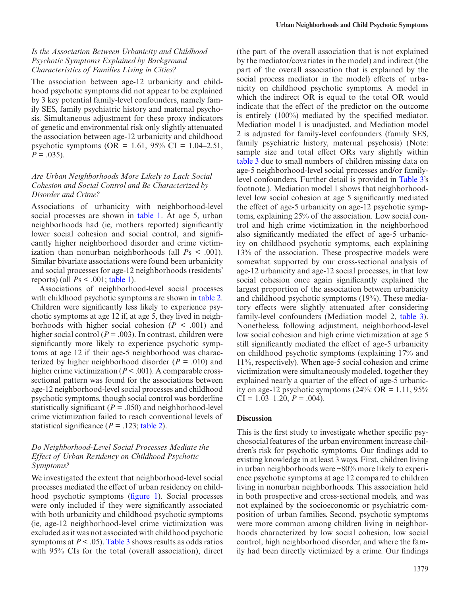## *Is the Association Between Urbanicity and Childhood Psychotic Symptoms Explained by Background Characteristics of Families Living in Cities?*

The association between age-12 urbanicity and childhood psychotic symptoms did not appear to be explained by 3 key potential family-level confounders, namely family SES, family psychiatric history and maternal psychosis. Simultaneous adjustment for these proxy indicators of genetic and environmental risk only slightly attenuated the association between age-12 urbanicity and childhood psychotic symptoms (OR =  $1.61$ , 95% CI =  $1.04-2.51$ ,  $P = .035$ ).

# *Are Urban Neighborhoods More Likely to Lack Social Cohesion and Social Control and Be Characterized by Disorder and Crime?*

Associations of urbanicity with neighborhood-level social processes are shown in table 1. At age 5, urban neighborhoods had (ie, mothers reported) significantly lower social cohesion and social control, and significantly higher neighborhood disorder and crime victimization than nonurban neighborhoods (all  $Ps < .001$ ). Similar bivariate associations were found been urbanicity and social processes for age-12 neighborhoods (residents' reports) (all *P*s < .001; [table 1\)](#page-5-0).

Associations of neighborhood-level social processes with childhood psychotic symptoms are shown in [table 2](#page-5-1). Children were significantly less likely to experience psychotic symptoms at age 12 if, at age 5, they lived in neighborhoods with higher social cohesion  $(P < .001)$  and higher social control ( $P = .003$ ). In contrast, children were significantly more likely to experience psychotic symptoms at age 12 if their age-5 neighborhood was characterized by higher neighborhood disorder  $(P = .010)$  and higher crime victimization (*P* < .001). A comparable crosssectional pattern was found for the associations between age-12 neighborhood-level social processes and childhood psychotic symptoms, though social control was borderline statistically significant ( $P = .050$ ) and neighborhood-level crime victimization failed to reach conventional levels of statistical significance ( $P = .123$ ; [table 2](#page-5-1)).

## *Do Neighborhood-Level Social Processes Mediate the Effect of Urban Residency on Childhood Psychotic Symptoms?*

We investigated the extent that neighborhood-level social processes mediated the effect of urban residency on childhood psychotic symptoms ([figure 1\)](#page-2-0). Social processes were only included if they were significantly associated with both urbanicity and childhood psychotic symptoms (ie, age-12 neighborhood-level crime victimization was excluded as it was not associated with childhood psychotic symptoms at  $P < .05$ ). [Table 3](#page-6-0) shows results as odds ratios with 95% CIs for the total (overall association), direct (the part of the overall association that is not explained by the mediator/covariates in the model) and indirect (the part of the overall association that is explained by the social process mediator in the model) effects of urbanicity on childhood psychotic symptoms. A model in which the indirect OR is equal to the total OR would indicate that the effect of the predictor on the outcome is entirely (100%) mediated by the specified mediator. Mediation model 1 is unadjusted, and Mediation model 2 is adjusted for family-level confounders (family SES, family psychiatric history, maternal psychosis) (Note: sample size and total effect ORs vary slightly within [table 3](#page-6-0) due to small numbers of children missing data on age-5 neighborhood-level social processes and/or familylevel confounders. Further detail is provided in [Table 3'](#page-6-0)s footnote.). Mediation model 1 shows that neighborhoodlevel low social cohesion at age 5 significantly mediated the effect of age-5 urbanicity on age-12 psychotic symptoms, explaining 25% of the association. Low social control and high crime victimization in the neighborhood also significantly mediated the effect of age-5 urbanicity on childhood psychotic symptoms, each explaining 13% of the association. These prospective models were somewhat supported by our cross-sectional analysis of age-12 urbanicity and age-12 social processes, in that low social cohesion once again significantly explained the largest proportion of the association between urbanicity and childhood psychotic symptoms (19%). These mediatory effects were slightly attenuated after considering family-level confounders (Mediation model 2, table 3). Nonetheless, following adjustment, neighborhood-level low social cohesion and high crime victimization at age 5 still significantly mediated the effect of age-5 urbanicity on childhood psychotic symptoms (explaining 17% and 11%, respectively). When age-5 social cohesion and crime victimization were simultaneously modeled, together they explained nearly a quarter of the effect of age-5 urbanicity on age-12 psychotic symptoms  $(24\% \text{·} \text{OR} = 1.11, 95\%)$  $CI = 1.03 - 1.20, P = .004$ .

## **Discussion**

This is the first study to investigate whether specific psychosocial features of the urban environment increase children's risk for psychotic symptoms. Our findings add to existing knowledge in at least 3 ways. First, children living in urban neighborhoods were ~80% more likely to experience psychotic symptoms at age 12 compared to children living in nonurban neighborhoods. This association held in both prospective and cross-sectional models, and was not explained by the socioeconomic or psychiatric composition of urban families. Second, psychotic symptoms were more common among children living in neighborhoods characterized by low social cohesion, low social control, high neighborhood disorder, and where the family had been directly victimized by a crime. Our findings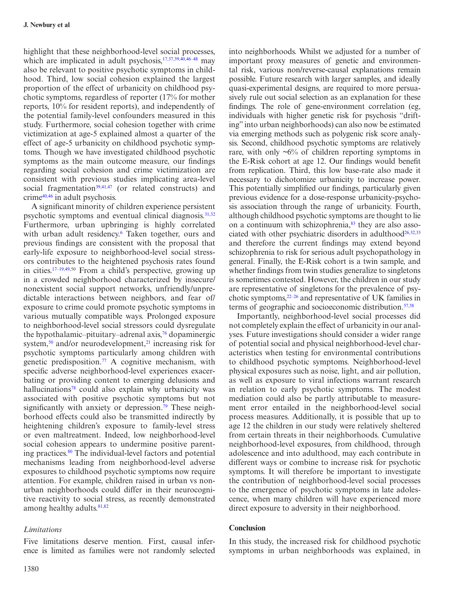highlight that these neighborhood-level social processes, which are implicated in adult psychosis,<sup>[17](#page-9-15)[,37,](#page-10-10)[39](#page-10-17)[,40](#page-10-14),46-48</sup> may also be relevant to positive psychotic symptoms in childhood. Third, low social cohesion explained the largest proportion of the effect of urbanicity on childhood psychotic symptoms, regardless of reporter (17% for mother reports, 10% for resident reports), and independently of the potential family-level confounders measured in this study. Furthermore, social cohesion together with crime victimization at age-5 explained almost a quarter of the effect of age-5 urbanicity on childhood psychotic symptoms. Though we have investigated childhood psychotic symptoms as the main outcome measure, our findings regarding social cohesion and crime victimization are consistent with previous studies implicating area-level social fragmentation<sup>[39,](#page-10-17)[41](#page-10-18),47</sup> (or related constructs) and crime[40](#page-10-14)[,46](#page-10-15) in adult psychosis.

A significant minority of children experience persistent psychotic symptoms and eventual clinical diagnosis. $31,32$  $31,32$  $31,32$ Furthermore, urban upbringing is highly correlated with urban adult residency.<sup>[6](#page-9-10)</sup> Taken together, ours and previous findings are consistent with the proposal that early-life exposure to neighborhood-level social stressors contributes to the heightened psychosis rates found in cities.[17–19](#page-9-15)[,49,](#page-10-20)50 From a child's perspective, growing up in a crowded neighborhood characterized by insecure/ nonexistent social support networks, unfriendly/unpredictable interactions between neighbors, and fear of/ exposure to crime could promote psychotic symptoms in various mutually compatible ways. Prolonged exposure to neighborhood-level social stressors could dysregulate the hypothalamic–pituitary–adrenal axis,<sup>76</sup> dopaminergic system, $50$  and/or neurodevelopment, $21$  increasing risk for psychotic symptoms particularly among children with genetic predisposition.<sup>77</sup> A cognitive mechanism, with specific adverse neighborhood-level experiences exacerbating or providing content to emerging delusions and hallucinations<sup>78</sup> could also explain why urbanicity was associated with positive psychotic symptoms but not significantly with anxiety or depression.<sup>79</sup> These neighborhood effects could also be transmitted indirectly by heightening children's exposure to family-level stress or even maltreatment. Indeed, low neighborhood-level social cohesion appears to undermine positive parenting practices[.80](#page-11-17) The individual-level factors and potential mechanisms leading from neighborhood-level adverse exposures to childhood psychotic symptoms now require attention. For example, children raised in urban vs nonurban neighborhoods could differ in their neurocognitive reactivity to social stress, as recently demonstrated among healthy adults.<sup>[81](#page-11-18)[,82](#page-11-19)</sup>

## *Limitations*

Five limitations deserve mention. First, causal inference is limited as families were not randomly selected

1380

into neighborhoods. Whilst we adjusted for a number of important proxy measures of genetic and environmental risk, various non/reverse-causal explanations remain possible. Future research with larger samples, and ideally quasi-experimental designs, are required to more persuasively rule out social selection as an explanation for these findings. The role of gene-environment correlation (eg, individuals with higher genetic risk for psychosis "drifting" into urban neighborhoods) can also now be estimated via emerging methods such as polygenic risk score analysis. Second, childhood psychotic symptoms are relatively rare, with only  $\sim 6\%$  of children reporting symptoms in the E-Risk cohort at age 12. Our findings would benefit from replication. Third, this low base-rate also made it necessary to dichotomize urbanicity to increase power. This potentially simplified our findings, particularly given previous evidence for a dose-response urbanicity-psychosis association through the range of urbanicity. Fourth, although childhood psychotic symptoms are thought to lie on a continuum with schizophrenia, $83$  they are also asso-ciated with other psychiatric disorders in adulthood<sup>[26,](#page-10-4)[32](#page-10-3),[33](#page-10-5)</sup> and therefore the current findings may extend beyond schizophrenia to risk for serious adult psychopathology in general. Finally, the E-Risk cohort is a twin sample, and whether findings from twin studies generalize to singletons is sometimes contested. However, the children in our study are representative of singletons for the prevalence of psychotic symptoms[,22–26](#page-9-12) and representative of UK families in terms of geographic and socioeconomic distribution. $57,58$  $57,58$ 

Importantly, neighborhood-level social processes did not completely explain the effect of urbanicity in our analyses. Future investigations should consider a wider range of potential social and physical neighborhood-level characteristics when testing for environmental contributions to childhood psychotic symptoms. Neighborhood-level physical exposures such as noise, light, and air pollution, as well as exposure to viral infections warrant research in relation to early psychotic symptoms. The modest mediation could also be partly attributable to measurement error entailed in the neighborhood-level social process measures. Additionally, it is possible that up to age 12 the children in our study were relatively sheltered from certain threats in their neighborhoods. Cumulative neighborhood-level exposures, from childhood, through adolescence and into adulthood, may each contribute in different ways or combine to increase risk for psychotic symptoms. It will therefore be important to investigate the contribution of neighborhood-level social processes to the emergence of psychotic symptoms in late adolescence, when many children will have experienced more direct exposure to adversity in their neighborhood.

## **Conclusion**

In this study, the increased risk for childhood psychotic symptoms in urban neighborhoods was explained, in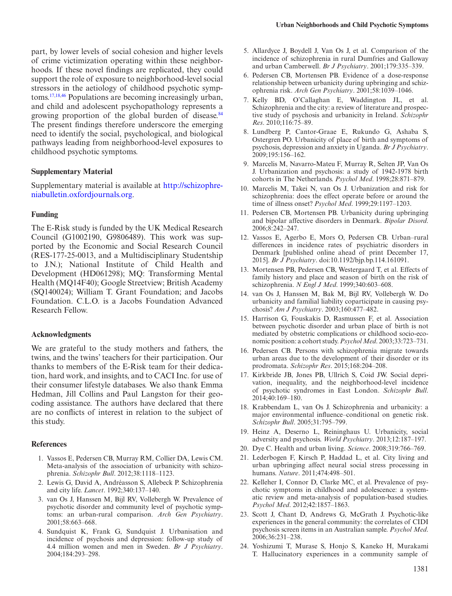part, by lower levels of social cohesion and higher levels of crime victimization operating within these neighborhoods. If these novel findings are replicated, they could support the role of exposure to neighborhood-level social stressors in the aetiology of childhood psychotic symptoms[.17](#page-9-15),[18](#page-9-14),[46](#page-10-15) Populations are becoming increasingly urban, and child and adolescent psychopathology represents a growing proportion of the global burden of disease.<sup>[84](#page-11-21)</sup> The present findings therefore underscore the emerging need to identify the social, psychological, and biological pathways leading from neighborhood-level exposures to childhood psychotic symptoms.

## **Supplementary Material**

Supplementary material is available at [http://schizophre](http://schizophreniabulletin.oxfordjournals.org/lookup/suppl/doi:10.1093/schbul/sbw052/-/DC1)[niabulletin.oxfordjournals.org.](http://schizophreniabulletin.oxfordjournals.org/lookup/suppl/doi:10.1093/schbul/sbw052/-/DC1)

#### **Funding**

The E-Risk study is funded by the UK Medical Research Council (G1002190, G9806489). This work was supported by the Economic and Social Research Council (RES-177-25-0013, and a Multidisciplinary Studentship to J.N.); National Institute of Child Health and Development (HD061298); MQ: Transforming Mental Health (MQ14F40); Google Streetview; British Academy (SQ140024); William T. Grant Foundation; and Jacobs Foundation. C.L.O. is a Jacobs Foundation Advanced Research Fellow.

#### **Acknowledgments**

We are grateful to the study mothers and fathers, the twins, and the twins' teachers for their participation. Our thanks to members of the E-Risk team for their dedication, hard work, and insights, and to CACI Inc. for use of their consumer lifestyle databases. We also thank Emma Hedman, Jill Collins and Paul Langston for their geocoding assistance. The authors have declared that there are no conflicts of interest in relation to the subject of this study.

#### **References**

- <span id="page-9-0"></span>1. Vassos E, Pedersen CB, Murray RM, Collier DA, Lewis CM. Meta-analysis of the association of urbanicity with schizophrenia. *Schizophr Bull*. 2012;38:1118–1123.
- <span id="page-9-1"></span>2. Lewis G, David A, Andréasson S, Allebeck P. Schizophrenia and city life. *Lancet*. 1992;340:137–140.
- <span id="page-9-16"></span>3. van Os J, Hanssen M, Bijl RV, Vollebergh W. Prevalence of psychotic disorder and community level of psychotic symptoms: an urban-rural comparison. *Arch Gen Psychiatry*. 2001;58:663–668.
- <span id="page-9-2"></span>4. Sundquist K, Frank G, Sundquist J. Urbanisation and incidence of psychosis and depression: follow-up study of 4.4 million women and men in Sweden. *Br J Psychiatry*. 2004;184:293–298.
- 5. Allardyce J, Boydell J, Van Os J, et al. Comparison of the incidence of schizophrenia in rural Dumfries and Galloway and urban Camberwell. *Br J Psychiatry*. 2001;179:335–339.
- <span id="page-9-10"></span>6. Pedersen CB, Mortensen PB. Evidence of a dose-response relationship between urbanicity during upbringing and schizophrenia risk. *Arch Gen Psychiatry*. 2001;58:1039–1046.
- <span id="page-9-3"></span>7. Kelly BD, O'Callaghan E, Waddington JL, et al. Schizophrenia and the city: a review of literature and prospective study of psychosis and urbanicity in Ireland. *Schizophr Res*. 2010;116:75–89.
- 8. Lundberg P, Cantor-Graae E, Rukundo G, Ashaba S, Ostergren PO. Urbanicity of place of birth and symptoms of psychosis, depression and anxiety in Uganda. *Br J Psychiatry*. 2009;195:156–162.
- <span id="page-9-17"></span>9. Marcelis M, Navarro-Mateu F, Murray R, Selten JP, Van Os J. Urbanization and psychosis: a study of 1942-1978 birth cohorts in The Netherlands. *Psychol Med*. 1998;28:871–879.
- <span id="page-9-11"></span>10. Marcelis M, Takei N, van Os J. Urbanization and risk for schizophrenia: does the effect operate before or around the time of illness onset? *Psychol Med*. 1999;29:1197–1203.
- <span id="page-9-4"></span>11. Pedersen CB, Mortensen PB. Urbanicity during upbringing and bipolar affective disorders in Denmark. *Bipolar Disord*. 2006;8:242–247.
- <span id="page-9-5"></span>12. Vassos E, Agerbo E, Mors O, Pedersen CB. Urban–rural differences in incidence rates of psychiatric disorders in Denmark [published online ahead of print December 17, 2015]. *Br J Psychiatry*. doi:10.1192/bjp.bp.114.161091.
- <span id="page-9-6"></span>13. Mortensen PB, Pedersen CB, Westergaard T, et al. Effects of family history and place and season of birth on the risk of schizophrenia. *N Engl J Med*. 1999;340:603–608.
- 14. van Os J, Hanssen M, Bak M, Bijl RV, Vollebergh W. Do urbanicity and familial liability coparticipate in causing psychosis? *Am J Psychiatry*. 2003;160:477–482.
- 15. Harrison G, Fouskakis D, Rasmussen F, et al. Association between psychotic disorder and urban place of birth is not mediated by obstetric complications or childhood socio-economic position: a cohort study. *Psychol Med*. 2003;33:723–731.
- <span id="page-9-7"></span>16. Pedersen CB. Persons with schizophrenia migrate towards urban areas due to the development of their disorder or its prodromata. *Schizophr Res*. 2015;168:204–208.
- <span id="page-9-15"></span>17. Kirkbride JB, Jones PB, Ullrich S, Coid JW. Social deprivation, inequality, and the neighborhood-level incidence of psychotic syndromes in East London. *Schizophr Bull*. 2014;40:169–180.
- <span id="page-9-14"></span>18. Krabbendam L, van Os J. Schizophrenia and urbanicity: a major environmental influence–conditional on genetic risk. *Schizophr Bull*. 2005;31:795–799.
- <span id="page-9-18"></span>19. Heinz A, Deserno L, Reininghaus U. Urbanicity, social adversity and psychosis. *World Psychiatry*. 2013;12:187–197.
- <span id="page-9-8"></span>20. Dye C. Health and urban living. *Science*. 2008;319:766–769.
- <span id="page-9-9"></span>21. Lederbogen F, Kirsch P, Haddad L, et al. City living and urban upbringing affect neural social stress processing in humans. *Nature*. 2011;474:498–501.
- <span id="page-9-12"></span>22. Kelleher I, Connor D, Clarke MC, et al. Prevalence of psychotic symptoms in childhood and adolescence: a systematic review and meta-analysis of population-based studies. *Psychol Med*. 2012;42:1857–1863.
- <span id="page-9-13"></span>23. Scott J, Chant D, Andrews G, McGrath J. Psychotic-like experiences in the general community: the correlates of CIDI psychosis screen items in an Australian sample. *Psychol Med*. 2006;36:231–238.
- 24. Yoshizumi T, Murase S, Honjo S, Kaneko H, Murakami T. Hallucinatory experiences in a community sample of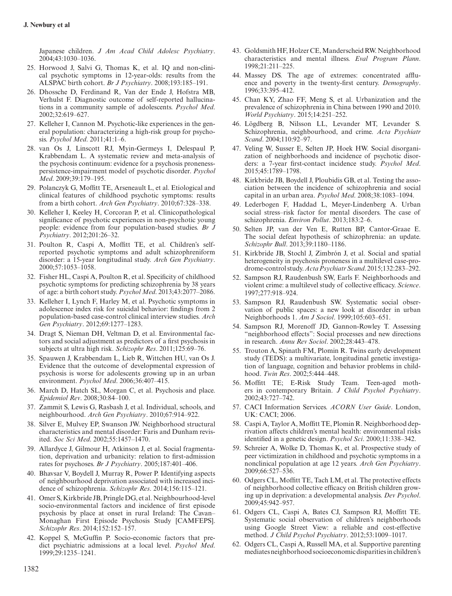Japanese children. *J Am Acad Child Adolesc Psychiatry*. 2004;43:1030–1036.

- 25. Horwood J, Salvi G, Thomas K, et al. IQ and non-clinical psychotic symptoms in 12-year-olds: results from the ALSPAC birth cohort. *Br J Psychiatry*. 2008;193:185–191.
- <span id="page-10-4"></span>26. Dhossche D, Ferdinand R, Van der Ende J, Hofstra MB, Verhulst F. Diagnostic outcome of self-reported hallucinations in a community sample of adolescents. *Psychol Med*. 2002;32:619–627.
- <span id="page-10-0"></span>27. Kelleher I, Cannon M. Psychotic-like experiences in the general population: characterizing a high-risk group for psychosis. *Psychol Med*. 2011;41:1–6.
- 28. van Os J, Linscott RJ, Myin-Germeys I, Delespaul P, Krabbendam L. A systematic review and meta-analysis of the psychosis continuum: evidence for a psychosis pronenesspersistence-impairment model of psychotic disorder. *Psychol Med*. 2009;39:179–195.
- <span id="page-10-6"></span>29. Polanczyk G, Moffitt TE, Arseneault L, et al. Etiological and clinical features of childhood psychotic symptoms: results from a birth cohort. *Arch Gen Psychiatry*. 2010;67:328–338.
- <span id="page-10-1"></span>30. Kelleher I, Keeley H, Corcoran P, et al. Clinicopathological significance of psychotic experiences in non-psychotic young people: evidence from four population-based studies. *Br J Psychiatry*. 2012;201:26–32.
- <span id="page-10-2"></span>31. Poulton R, Caspi A, Moffitt TE, et al. Children's selfreported psychotic symptoms and adult schizophreniform disorder: a 15-year longitudinal study. *Arch Gen Psychiatry*. 2000;57:1053–1058.
- <span id="page-10-3"></span>32. Fisher HL, Caspi A, Poulton R, et al. Specificity of childhood psychotic symptoms for predicting schizophrenia by 38 years of age: a birth cohort study. *Psychol Med*. 2013;43:2077–2086.
- <span id="page-10-5"></span>33. Kelleher I, Lynch F, Harley M, et al. Psychotic symptoms in adolescence index risk for suicidal behavior: findings from 2 population-based case-control clinical interview studies. *Arch Gen Psychiatry*. 2012;69:1277–1283.
- <span id="page-10-7"></span>34. Dragt S, Nieman DH, Veltman D, et al. Environmental factors and social adjustment as predictors of a first psychosis in subjects at ultra high risk. *Schizophr Res*. 2011;125:69–76.
- <span id="page-10-8"></span>35. Spauwen J, Krabbendam L, Lieb R, Wittchen HU, van Os J. Evidence that the outcome of developmental expression of psychosis is worse for adolescents growing up in an urban environment. *Psychol Med*. 2006;36:407–415.
- <span id="page-10-9"></span>36. March D, Hatch SL, Morgan C, et al. Psychosis and place. *Epidemiol Rev*. 2008;30:84–100.
- <span id="page-10-10"></span>37. Zammit S, Lewis G, Rasbash J, et al. Individual, schools, and neighbourhood. *Arch Gen Psychiatry*. 2010;67:914–922.
- <span id="page-10-11"></span>38. Silver E, Mulvey EP, Swanson JW. Neighborhood structural characteristics and mental disorder: Faris and Dunham revisited. *Soc Sci Med*. 2002;55:1457–1470.
- <span id="page-10-17"></span>39. Allardyce J, Gilmour H, Atkinson J, et al. Social fragmentation, deprivation and urbanicity: relation to first-admission rates for psychoses. *Br J Psychiatry*. 2005;187:401–406.
- <span id="page-10-14"></span>40. Bhavsar V, Boydell J, Murray R, Power P. Identifying aspects of neighbourhood deprivation associated with increased incidence of schizophrenia. *Schizophr Res*. 2014;156:115–121.
- <span id="page-10-18"></span>41. Omer S, Kirkbride JB, Pringle DG, et al. Neighbourhood-level socio-environmental factors and incidence of first episode psychosis by place at onset in rural Ireland: The Cavan– Monaghan First Episode Psychosis Study [CAMFEPS]. *Schizophr Res*. 2014;152:152–157.
- 42. Koppel S, McGuffin P. Socio-economic factors that predict psychiatric admissions at a local level. *Psychol Med*. 1999;29:1235–1241.
- 43. Goldsmith HF, Holzer CE, Manderscheid RW. Neighborhood characteristics and mental illness. *Eval Program Plann*. 1998;21:211–225.
- <span id="page-10-12"></span>44. Massey DS. The age of extremes: concentrated affluence and poverty in the twenty-first century. *Demography*. 1996;33:395–412.
- <span id="page-10-13"></span>45. Chan KY, Zhao FF, Meng S, et al. Urbanization and the prevalence of schizophrenia in China between 1990 and 2010. *World Psychiatry*. 2015;14:251–252.
- <span id="page-10-15"></span>46. Lögdberg B, Nilsson LL, Levander MT, Levander S. Schizophrenia, neighbourhood, and crime. *Acta Psychiatr Scand*. 2004;110:92–97.
- <span id="page-10-16"></span>47. Veling W, Susser E, Selten JP, Hoek HW. Social disorganization of neighborhoods and incidence of psychotic disorders: a 7-year first-contact incidence study. *Psychol Med*. 2015;45:1789–1798.
- <span id="page-10-19"></span>48. Kirkbride JB, Boydell J, Ploubidis GB, et al. Testing the association between the incidence of schizophrenia and social capital in an urban area. *Psychol Med*. 2008;38:1083–1094.
- <span id="page-10-20"></span>49. Lederbogen F, Haddad L, Meyer-Lindenberg A. Urban social stress–risk factor for mental disorders. The case of schizophrenia. *Environ Pollut*. 2013;183:2–6.
- <span id="page-10-21"></span>50. Selten JP, van der Ven E, Rutten BP, Cantor-Graae E. The social defeat hypothesis of schizophrenia: an update. *Schizophr Bull*. 2013;39:1180–1186.
- <span id="page-10-22"></span>51. Kirkbride JB, Stochl J, Zimbrón J, et al. Social and spatial heterogeneity in psychosis proneness in a multilevel case-prodrome-control study. *Acta Psychiatr Scand*. 2015;132:283–292.
- <span id="page-10-23"></span>52. Sampson RJ, Raudenbush SW, Earls F. Neighborhoods and violent crime: a multilevel study of collective efficacy. *Science*. 1997;277:918–924.
- <span id="page-10-24"></span>53. Sampson RJ, Raudenbush SW. Systematic social observation of public spaces: a new look at disorder in urban Neighborhoods 1. *Am J Sociol*. 1999;105:603–651.
- 54. Sampson RJ, Morenoff JD, Gannon-Rowley T. Assessing "neighborhood effects": Social processes and new directions in research. *Annu Rev Sociol*. 2002;28:443–478.
- <span id="page-10-25"></span>55. Trouton A, Spinath FM, Plomin R. Twins early development study (TEDS): a multivariate, longitudinal genetic investigation of language, cognition and behavior problems in childhood. *Twin Res*. 2002;5:444–448.
- <span id="page-10-26"></span>56. Moffitt TE; E-Risk Study Team. Teen-aged mothers in contemporary Britain. *J Child Psychol Psychiatry*. 2002;43:727–742.
- <span id="page-10-27"></span>57. CACI Information Services. *ACORN User Guide*. London, UK: CACI; 2006.
- <span id="page-10-28"></span>58. Caspi A, Taylor A, Moffitt TE, Plomin R. Neighborhood deprivation affects children's mental health: environmental risks identified in a genetic design. *Psychol Sci*. 2000;11:338–342.
- <span id="page-10-29"></span>59. Schreier A, Wolke D, Thomas K, et al. Prospective study of peer victimization in childhood and psychotic symptoms in a nonclinical population at age 12 years. *Arch Gen Psychiatry*. 2009;66:527–536.
- <span id="page-10-30"></span>60. Odgers CL, Moffitt TE, Tach LM, et al. The protective effects of neighborhood collective efficacy on British children growing up in deprivation: a developmental analysis. *Dev Psychol*. 2009;45:942–957.
- <span id="page-10-31"></span>61. Odgers CL, Caspi A, Bates CJ, Sampson RJ, Moffitt TE. Systematic social observation of children's neighborhoods using Google Street View: a reliable and cost-effective method. *J Child Psychol Psychiatry*. 2012;53:1009–1017.
- <span id="page-10-32"></span>62. Odgers CL, Caspi A, Russell MA, et al. Supportive parenting mediates neighborhood socioeconomic disparities in children's